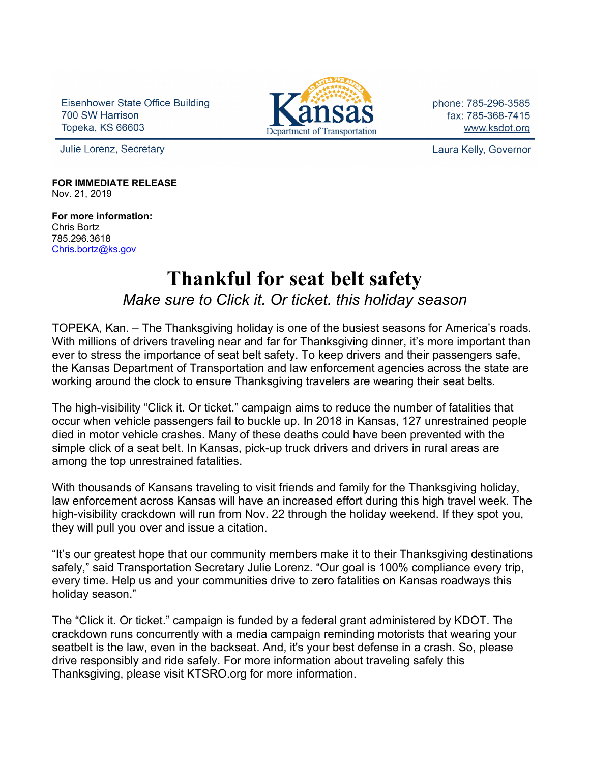Eisenhower State Office Building 700 SW Harrison **Topeka, KS 66603** 



phone: 785-296-3585 fax: 785-368-7415 www.ksdot.org

Julie Lorenz, Secretary

Laura Kelly, Governor

**FOR IMMEDIATE RELEASE** Nov. 21, 2019

**For more information:** Chris Bortz 785.296.3618 [Chris.bortz@ks.gov](mailto:Chris.bortz@ks.gov)

## **Thankful for seat belt safety** *Make sure to Click it. Or ticket. this holiday season*

TOPEKA, Kan. – The Thanksgiving holiday is one of the busiest seasons for America's roads. With millions of drivers traveling near and far for Thanksgiving dinner, it's more important than ever to stress the importance of seat belt safety. To keep drivers and their passengers safe, the Kansas Department of Transportation and law enforcement agencies across the state are working around the clock to ensure Thanksgiving travelers are wearing their seat belts.

The high-visibility "Click it. Or ticket." campaign aims to reduce the number of fatalities that occur when vehicle passengers fail to buckle up. In 2018 in Kansas, 127 unrestrained people died in motor vehicle crashes. Many of these deaths could have been prevented with the simple click of a seat belt. In Kansas, pick-up truck drivers and drivers in rural areas are among the top unrestrained fatalities.

With thousands of Kansans traveling to visit friends and family for the Thanksgiving holiday, law enforcement across Kansas will have an increased effort during this high travel week. The high-visibility crackdown will run from Nov. 22 through the holiday weekend. If they spot you, they will pull you over and issue a citation.

"It's our greatest hope that our community members make it to their Thanksgiving destinations safely," said Transportation Secretary Julie Lorenz. "Our goal is 100% compliance every trip, every time. Help us and your communities drive to zero fatalities on Kansas roadways this holiday season."

The "Click it. Or ticket." campaign is funded by a federal grant administered by KDOT. The crackdown runs concurrently with a media campaign reminding motorists that wearing your seatbelt is the law, even in the backseat. And, it's your best defense in a crash. So, please drive responsibly and ride safely. For more information about traveling safely this Thanksgiving, please visit KTSRO.org for more information.